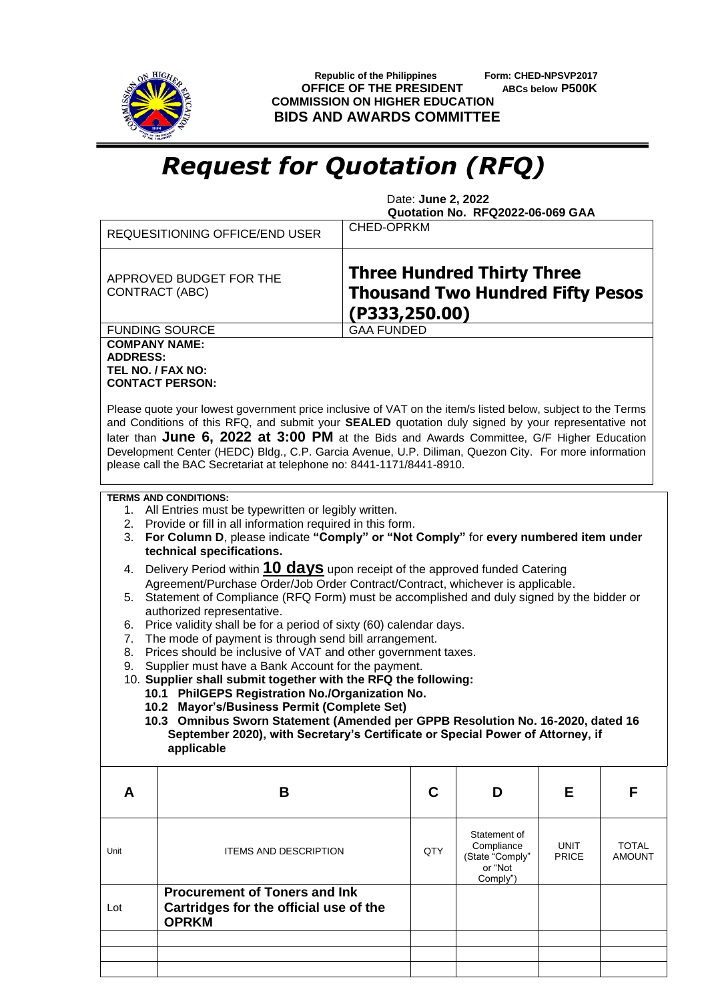

 **Republic of the Philippines Form: CHED-NPSVP2017 OFFICE OF THE PRESIDENT ABCs below P500K COMMISSION ON HIGHER EDUCATION BIDS AND AWARDS COMMITTEE**

## *Request for Quotation (RFQ)*

 Date: **June 2, 2022 Quotation No. RFQ2022-06-069 GAA**

| <b>REQUESITIONING OFFICE/END USER</b>                                                                                                                                                                                                                                                                                                                                                                                                                                                                                                                                                                                                                                                                                                                                                                                                                                                                                                                                                                                                                                                                                                                                                                                  |                                                                                                                                                                                                                                                                                                                                                                                                                                                                                                  | CHED-OPRKM                                                                                    |                                                                      |                      |                        |  |
|------------------------------------------------------------------------------------------------------------------------------------------------------------------------------------------------------------------------------------------------------------------------------------------------------------------------------------------------------------------------------------------------------------------------------------------------------------------------------------------------------------------------------------------------------------------------------------------------------------------------------------------------------------------------------------------------------------------------------------------------------------------------------------------------------------------------------------------------------------------------------------------------------------------------------------------------------------------------------------------------------------------------------------------------------------------------------------------------------------------------------------------------------------------------------------------------------------------------|--------------------------------------------------------------------------------------------------------------------------------------------------------------------------------------------------------------------------------------------------------------------------------------------------------------------------------------------------------------------------------------------------------------------------------------------------------------------------------------------------|-----------------------------------------------------------------------------------------------|----------------------------------------------------------------------|----------------------|------------------------|--|
|                                                                                                                                                                                                                                                                                                                                                                                                                                                                                                                                                                                                                                                                                                                                                                                                                                                                                                                                                                                                                                                                                                                                                                                                                        | APPROVED BUDGET FOR THE<br><b>CONTRACT (ABC)</b>                                                                                                                                                                                                                                                                                                                                                                                                                                                 | <b>Three Hundred Thirty Three</b><br><b>Thousand Two Hundred Fifty Pesos</b><br>(P333,250.00) |                                                                      |                      |                        |  |
|                                                                                                                                                                                                                                                                                                                                                                                                                                                                                                                                                                                                                                                                                                                                                                                                                                                                                                                                                                                                                                                                                                                                                                                                                        | <b>FUNDING SOURCE</b>                                                                                                                                                                                                                                                                                                                                                                                                                                                                            | <b>GAA FUNDED</b>                                                                             |                                                                      |                      |                        |  |
| <b>COMPANY NAME:</b><br><b>ADDRESS:</b>                                                                                                                                                                                                                                                                                                                                                                                                                                                                                                                                                                                                                                                                                                                                                                                                                                                                                                                                                                                                                                                                                                                                                                                | TEL NO. / FAX NO:<br><b>CONTACT PERSON:</b>                                                                                                                                                                                                                                                                                                                                                                                                                                                      |                                                                                               |                                                                      |                      |                        |  |
|                                                                                                                                                                                                                                                                                                                                                                                                                                                                                                                                                                                                                                                                                                                                                                                                                                                                                                                                                                                                                                                                                                                                                                                                                        | Please quote your lowest government price inclusive of VAT on the item/s listed below, subject to the Terms<br>and Conditions of this RFQ, and submit your SEALED quotation duly signed by your representative not<br>later than June 6, 2022 at 3:00 PM at the Bids and Awards Committee, G/F Higher Education<br>Development Center (HEDC) Bldg., C.P. Garcia Avenue, U.P. Diliman, Quezon City. For more information<br>please call the BAC Secretariat at telephone no: 8441-1171/8441-8910. |                                                                                               |                                                                      |                      |                        |  |
| <b>TERMS AND CONDITIONS:</b><br>1. All Entries must be typewritten or legibly written.<br>2. Provide or fill in all information required in this form.<br>3. For Column D, please indicate "Comply" or "Not Comply" for every numbered item under<br>technical specifications.<br>Delivery Period within 10 days upon receipt of the approved funded Catering<br>4.<br>Agreement/Purchase Order/Job Order Contract/Contract, whichever is applicable.<br>5. Statement of Compliance (RFQ Form) must be accomplished and duly signed by the bidder or<br>authorized representative.<br>Price validity shall be for a period of sixty (60) calendar days.<br>6.<br>The mode of payment is through send bill arrangement.<br>7.<br>Prices should be inclusive of VAT and other government taxes.<br>8.<br>Supplier must have a Bank Account for the payment.<br>9.<br>10. Supplier shall submit together with the RFQ the following:<br>10.1 PhilGEPS Registration No./Organization No.<br>10.2 Mayor's/Business Permit (Complete Set)<br>10.3 Omnibus Sworn Statement (Amended per GPPB Resolution No. 16-2020, dated 16<br>September 2020), with Secretary's Certificate or Special Power of Attorney, if<br>applicable |                                                                                                                                                                                                                                                                                                                                                                                                                                                                                                  |                                                                                               |                                                                      |                      |                        |  |
| A                                                                                                                                                                                                                                                                                                                                                                                                                                                                                                                                                                                                                                                                                                                                                                                                                                                                                                                                                                                                                                                                                                                                                                                                                      | B                                                                                                                                                                                                                                                                                                                                                                                                                                                                                                | C                                                                                             | D                                                                    | Е                    | F                      |  |
| Unit                                                                                                                                                                                                                                                                                                                                                                                                                                                                                                                                                                                                                                                                                                                                                                                                                                                                                                                                                                                                                                                                                                                                                                                                                   | <b>ITEMS AND DESCRIPTION</b>                                                                                                                                                                                                                                                                                                                                                                                                                                                                     | QTY                                                                                           | Statement of<br>Compliance<br>(State "Comply"<br>or "Not<br>Comply") | <b>UNIT</b><br>PRICE | TOTAL<br><b>AMOUNT</b> |  |
| Lot                                                                                                                                                                                                                                                                                                                                                                                                                                                                                                                                                                                                                                                                                                                                                                                                                                                                                                                                                                                                                                                                                                                                                                                                                    | <b>Procurement of Toners and Ink</b><br>Cartridges for the official use of the<br><b>OPRKM</b>                                                                                                                                                                                                                                                                                                                                                                                                   |                                                                                               |                                                                      |                      |                        |  |
|                                                                                                                                                                                                                                                                                                                                                                                                                                                                                                                                                                                                                                                                                                                                                                                                                                                                                                                                                                                                                                                                                                                                                                                                                        |                                                                                                                                                                                                                                                                                                                                                                                                                                                                                                  |                                                                                               |                                                                      |                      |                        |  |
|                                                                                                                                                                                                                                                                                                                                                                                                                                                                                                                                                                                                                                                                                                                                                                                                                                                                                                                                                                                                                                                                                                                                                                                                                        |                                                                                                                                                                                                                                                                                                                                                                                                                                                                                                  |                                                                                               |                                                                      |                      |                        |  |
|                                                                                                                                                                                                                                                                                                                                                                                                                                                                                                                                                                                                                                                                                                                                                                                                                                                                                                                                                                                                                                                                                                                                                                                                                        |                                                                                                                                                                                                                                                                                                                                                                                                                                                                                                  |                                                                                               |                                                                      |                      |                        |  |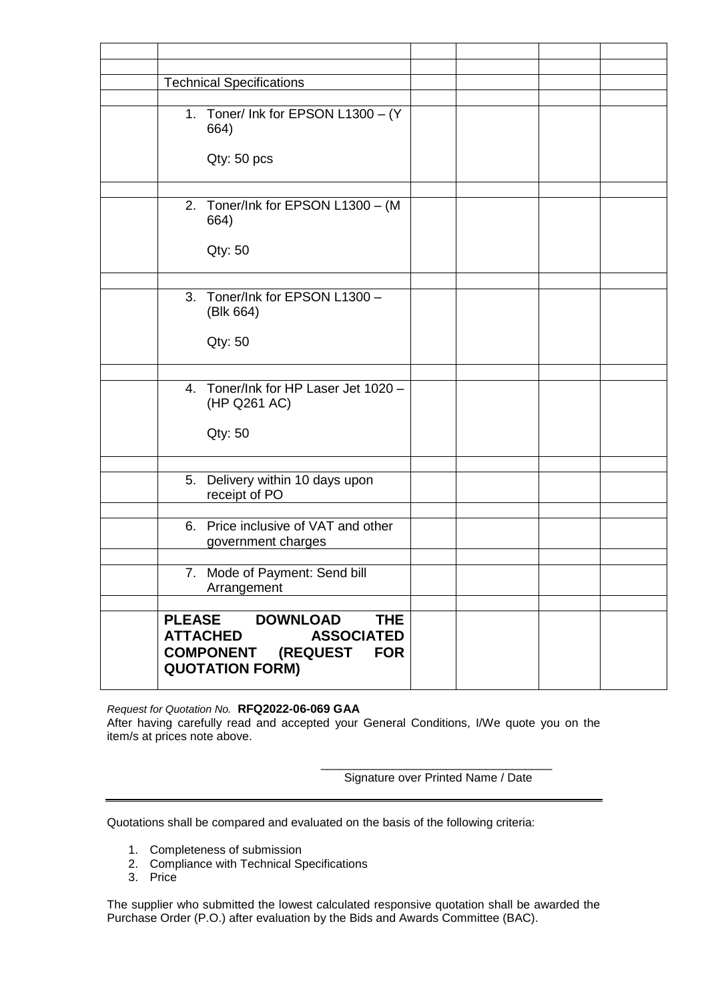| <b>Technical Specifications</b>                                                                                                                             |  |
|-------------------------------------------------------------------------------------------------------------------------------------------------------------|--|
| 1. Toner/ Ink for EPSON L1300 - (Y<br>664)                                                                                                                  |  |
| Qty: 50 pcs                                                                                                                                                 |  |
| 2. Toner/Ink for EPSON L1300 - (M<br>664)                                                                                                                   |  |
| Qty: 50                                                                                                                                                     |  |
| 3. Toner/Ink for EPSON L1300 -<br>(Blk 664)                                                                                                                 |  |
| Qty: 50                                                                                                                                                     |  |
| 4. Toner/Ink for HP Laser Jet 1020 -<br>(HP Q261 AC)<br>Qty: 50                                                                                             |  |
|                                                                                                                                                             |  |
| 5. Delivery within 10 days upon<br>receipt of PO                                                                                                            |  |
| 6. Price inclusive of VAT and other<br>government charges                                                                                                   |  |
| 7. Mode of Payment: Send bill                                                                                                                               |  |
| Arrangement                                                                                                                                                 |  |
| <b>DOWNLOAD</b><br><b>THE</b><br><b>PLEASE</b><br><b>ATTACHED</b><br><b>ASSOCIATED</b><br><b>COMPONENT (REQUEST</b><br><b>FOR</b><br><b>QUOTATION FORM)</b> |  |

*Request for Quotation No.* **RFQ2022-06-069 GAA** After having carefully read and accepted your General Conditions, I/We quote you on the item/s at prices note above.

> \_\_\_\_\_\_\_\_\_\_\_\_\_\_\_\_\_\_\_\_\_\_\_\_\_\_\_\_\_\_\_\_\_\_\_ Signature over Printed Name / Date

Quotations shall be compared and evaluated on the basis of the following criteria:

- 1. Completeness of submission
- 2. Compliance with Technical Specifications
- 3. Price

The supplier who submitted the lowest calculated responsive quotation shall be awarded the Purchase Order (P.O.) after evaluation by the Bids and Awards Committee (BAC).